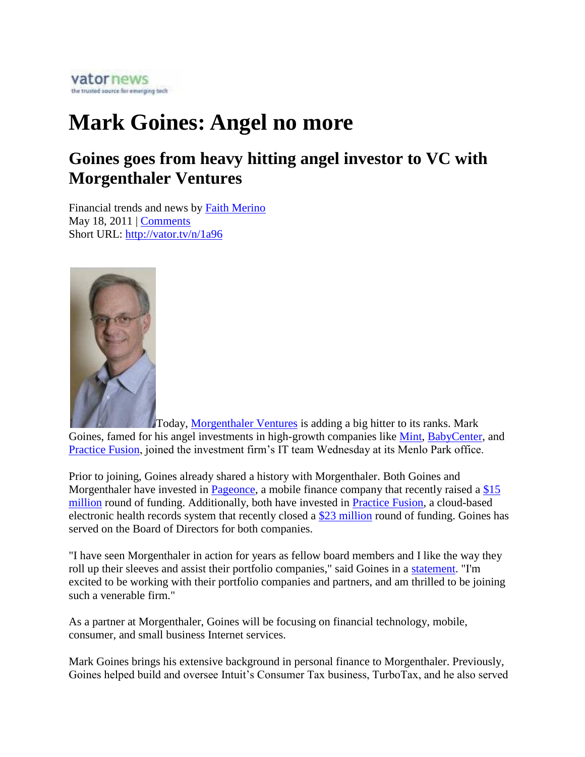

## **Mark Goines: Angel no more**

## **Goines goes from heavy hitting angel investor to VC with Morgenthaler Ventures**

Financial trends and news by Faith Merino May 18, 2011 | Comments Short URL: http://vator.tv/n/1a96



Today, Morgenthaler Ventures is adding a big hitter to its ranks. Mark Goines, famed for his angel investments in high-growth companies like Mint, BabyCenter, and Practice Fusion, joined the investment firm's IT team Wednesday at its Menlo Park office.

Prior to joining, Goines already shared a history with Morgenthaler. Both Goines and Morgenthaler have invested in Pageonce, a mobile finance company that recently raised a \$15 million round of funding. Additionally, both have invested in Practice Fusion, a cloud-based electronic health records system that recently closed a \$23 million round of funding. Goines has served on the Board of Directors for both companies.

"I have seen Morgenthaler in action for years as fellow board members and I like the way they roll up their sleeves and assist their portfolio companies," said Goines in a statement. "I'm excited to be working with their portfolio companies and partners, and am thrilled to be joining such a venerable firm."

As a partner at Morgenthaler, Goines will be focusing on financial technology, mobile, consumer, and small business Internet services.

Mark Goines brings his extensive background in personal finance to Morgenthaler. Previously, Goines helped build and oversee Intuit's Consumer Tax business, TurboTax, and he also served